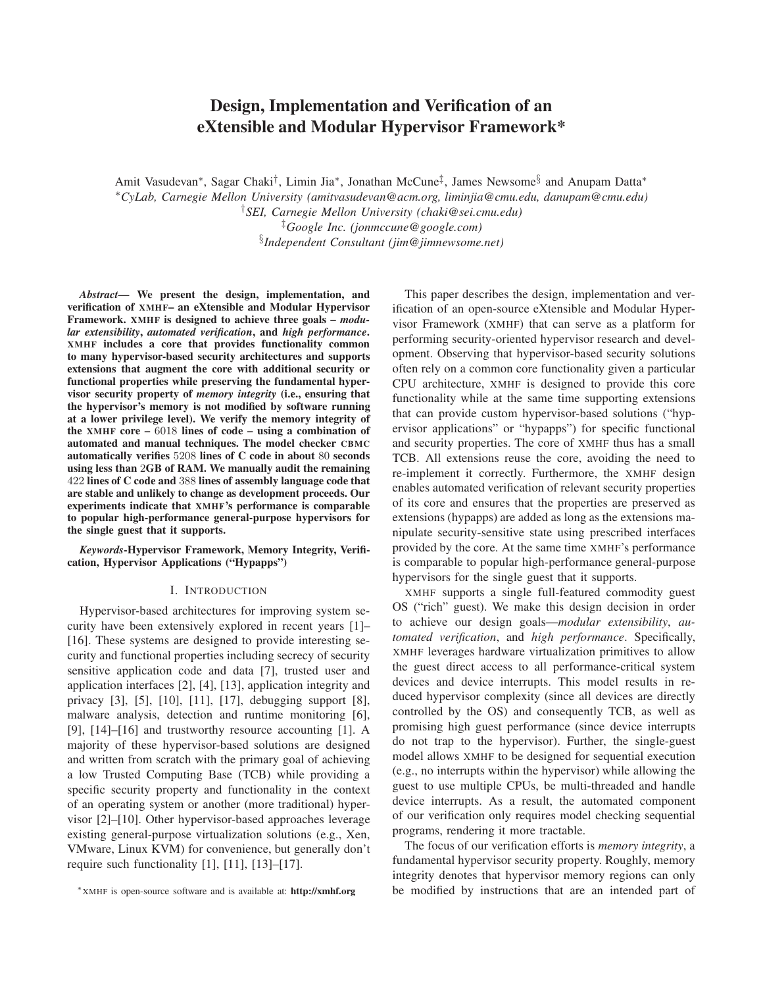# Design, Implementation and Verification of an eXtensible and Modular Hypervisor Framework\*

Amit Vasudevan<sup>∗</sup>, Sagar Chaki<sup>†</sup>, Limin Jia<sup>∗</sup>, Jonathan McCune<sup>‡</sup>, James Newsome§ and Anupam Datta<sup>∗</sup>

<sup>∗</sup>*CyLab, Carnegie Mellon University (amitvasudevan@acm.org, liminjia@cmu.edu, danupam@cmu.edu)*

†*SEI, Carnegie Mellon University (chaki@sei.cmu.edu)*

‡*Google Inc. (jonmccune@google.com)*

§ *Independent Consultant (jim@jimnewsome.net)*

*Abstract*— We present the design, implementation, and verification of XMHF– an eXtensible and Modular Hypervisor Framework. XMHF is designed to achieve three goals – *modular extensibility*, *automated verification*, and *high performance*. XMHF includes a core that provides functionality common to many hypervisor-based security architectures and supports extensions that augment the core with additional security or functional properties while preserving the fundamental hypervisor security property of *memory integrity* (i.e., ensuring that the hypervisor's memory is not modified by software running at a lower privilege level). We verify the memory integrity of the XMHF core – 6018 lines of code – using a combination of automated and manual techniques. The model checker CBMC automatically verifies 5208 lines of C code in about 80 seconds using less than 2GB of RAM. We manually audit the remaining 422 lines of C code and 388 lines of assembly language code that are stable and unlikely to change as development proceeds. Our experiments indicate that XMHF's performance is comparable to popular high-performance general-purpose hypervisors for the single guest that it supports.

*Keywords*-Hypervisor Framework, Memory Integrity, Verification, Hypervisor Applications ("Hypapps")

### I. INTRODUCTION

Hypervisor-based architectures for improving system security have been extensively explored in recent years [1]– [16]. These systems are designed to provide interesting security and functional properties including secrecy of security sensitive application code and data [7], trusted user and application interfaces [2], [4], [13], application integrity and privacy [3], [5], [10], [11], [17], debugging support [8], malware analysis, detection and runtime monitoring [6], [9], [14]–[16] and trustworthy resource accounting [1]. A majority of these hypervisor-based solutions are designed and written from scratch with the primary goal of achieving a low Trusted Computing Base (TCB) while providing a specific security property and functionality in the context of an operating system or another (more traditional) hypervisor [2]–[10]. Other hypervisor-based approaches leverage existing general-purpose virtualization solutions (e.g., Xen, VMware, Linux KVM) for convenience, but generally don't require such functionality [1], [11], [13]–[17].

This paper describes the design, implementation and verification of an open-source eXtensible and Modular Hypervisor Framework (XMHF) that can serve as a platform for performing security-oriented hypervisor research and development. Observing that hypervisor-based security solutions often rely on a common core functionality given a particular CPU architecture, XMHF is designed to provide this core functionality while at the same time supporting extensions that can provide custom hypervisor-based solutions ("hypervisor applications" or "hypapps") for specific functional and security properties. The core of XMHF thus has a small TCB. All extensions reuse the core, avoiding the need to re-implement it correctly. Furthermore, the XMHF design enables automated verification of relevant security properties of its core and ensures that the properties are preserved as extensions (hypapps) are added as long as the extensions manipulate security-sensitive state using prescribed interfaces provided by the core. At the same time XMHF's performance is comparable to popular high-performance general-purpose hypervisors for the single guest that it supports.

XMHF supports a single full-featured commodity guest OS ("rich" guest). We make this design decision in order to achieve our design goals—*modular extensibility*, *automated verification*, and *high performance*. Specifically, XMHF leverages hardware virtualization primitives to allow the guest direct access to all performance-critical system devices and device interrupts. This model results in reduced hypervisor complexity (since all devices are directly controlled by the OS) and consequently TCB, as well as promising high guest performance (since device interrupts do not trap to the hypervisor). Further, the single-guest model allows XMHF to be designed for sequential execution (e.g., no interrupts within the hypervisor) while allowing the guest to use multiple CPUs, be multi-threaded and handle device interrupts. As a result, the automated component of our verification only requires model checking sequential programs, rendering it more tractable.

The focus of our verification efforts is *memory integrity*, a fundamental hypervisor security property. Roughly, memory integrity denotes that hypervisor memory regions can only be modified by instructions that are an intended part of

<sup>∗</sup>XMHF is open-source software and is available at: http://xmhf.org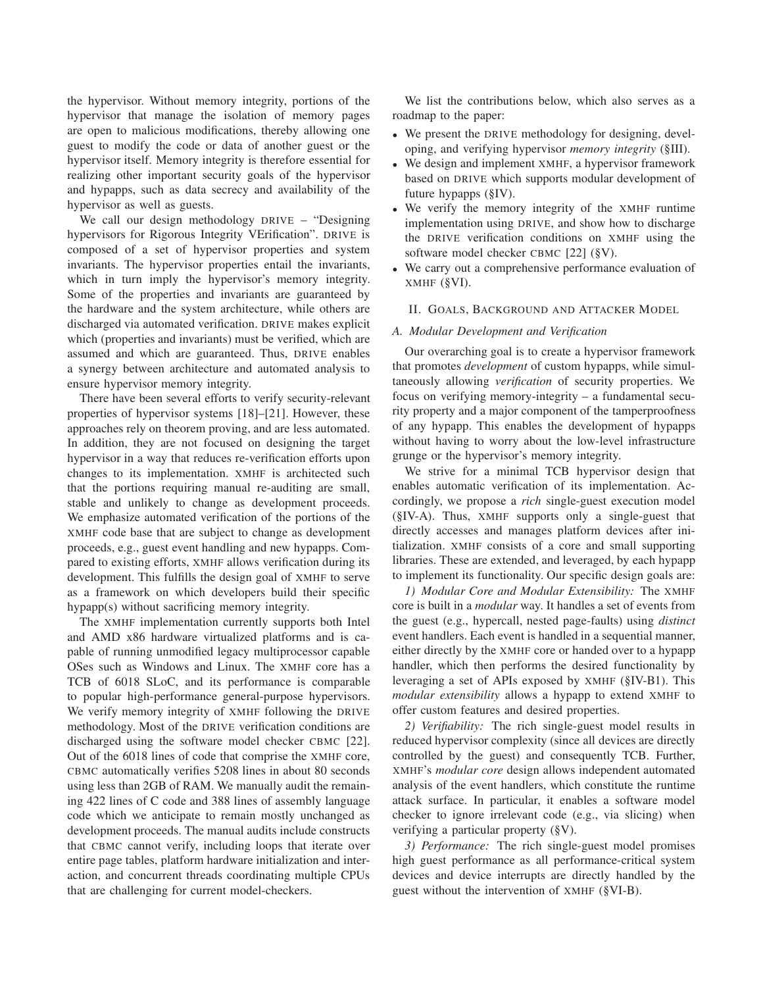the hypervisor. Without memory integrity, portions of the hypervisor that manage the isolation of memory pages are open to malicious modifications, thereby allowing one guest to modify the code or data of another guest or the hypervisor itself. Memory integrity is therefore essential for realizing other important security goals of the hypervisor and hypapps, such as data secrecy and availability of the hypervisor as well as guests.

We call our design methodology DRIVE – "Designing hypervisors for Rigorous Integrity VErification". DRIVE is composed of a set of hypervisor properties and system invariants. The hypervisor properties entail the invariants, which in turn imply the hypervisor's memory integrity. Some of the properties and invariants are guaranteed by the hardware and the system architecture, while others are discharged via automated verification. DRIVE makes explicit which (properties and invariants) must be verified, which are assumed and which are guaranteed. Thus, DRIVE enables a synergy between architecture and automated analysis to ensure hypervisor memory integrity.

There have been several efforts to verify security-relevant properties of hypervisor systems [18]–[21]. However, these approaches rely on theorem proving, and are less automated. In addition, they are not focused on designing the target hypervisor in a way that reduces re-verification efforts upon changes to its implementation. XMHF is architected such that the portions requiring manual re-auditing are small, stable and unlikely to change as development proceeds. We emphasize automated verification of the portions of the XMHF code base that are subject to change as development proceeds, e.g., guest event handling and new hypapps. Compared to existing efforts, XMHF allows verification during its development. This fulfills the design goal of XMHF to serve as a framework on which developers build their specific hypapp(s) without sacrificing memory integrity.

The XMHF implementation currently supports both Intel and AMD x86 hardware virtualized platforms and is capable of running unmodified legacy multiprocessor capable OSes such as Windows and Linux. The XMHF core has a TCB of 6018 SLoC, and its performance is comparable to popular high-performance general-purpose hypervisors. We verify memory integrity of XMHF following the DRIVE methodology. Most of the DRIVE verification conditions are discharged using the software model checker CBMC [22]. Out of the 6018 lines of code that comprise the XMHF core, CBMC automatically verifies 5208 lines in about 80 seconds using less than 2GB of RAM. We manually audit the remaining 422 lines of C code and 388 lines of assembly language code which we anticipate to remain mostly unchanged as development proceeds. The manual audits include constructs that CBMC cannot verify, including loops that iterate over entire page tables, platform hardware initialization and interaction, and concurrent threads coordinating multiple CPUs that are challenging for current model-checkers.

We list the contributions below, which also serves as a roadmap to the paper:

- We present the DRIVE methodology for designing, developing, and verifying hypervisor *memory integrity* (§III).
- We design and implement XMHF, a hypervisor framework based on DRIVE which supports modular development of future hypapps (§IV).
- We verify the memory integrity of the XMHF runtime implementation using DRIVE, and show how to discharge the DRIVE verification conditions on XMHF using the software model checker CBMC [22] (§V).
- We carry out a comprehensive performance evaluation of XMHF (§VI).

## II. GOALS, BACKGROUND AND ATTACKER MODEL

#### *A. Modular Development and Verification*

Our overarching goal is to create a hypervisor framework that promotes *development* of custom hypapps, while simultaneously allowing *verification* of security properties. We focus on verifying memory-integrity – a fundamental security property and a major component of the tamperproofness of any hypapp. This enables the development of hypapps without having to worry about the low-level infrastructure grunge or the hypervisor's memory integrity.

We strive for a minimal TCB hypervisor design that enables automatic verification of its implementation. Accordingly, we propose a *rich* single-guest execution model (§IV-A). Thus, XMHF supports only a single-guest that directly accesses and manages platform devices after initialization. XMHF consists of a core and small supporting libraries. These are extended, and leveraged, by each hypapp to implement its functionality. Our specific design goals are:

*1) Modular Core and Modular Extensibility:* The XMHF core is built in a *modular* way. It handles a set of events from the guest (e.g., hypercall, nested page-faults) using *distinct* event handlers. Each event is handled in a sequential manner, either directly by the XMHF core or handed over to a hypapp handler, which then performs the desired functionality by leveraging a set of APIs exposed by XMHF (§IV-B1). This *modular extensibility* allows a hypapp to extend XMHF to offer custom features and desired properties.

*2) Verifiability:* The rich single-guest model results in reduced hypervisor complexity (since all devices are directly controlled by the guest) and consequently TCB. Further, XMHF's *modular core* design allows independent automated analysis of the event handlers, which constitute the runtime attack surface. In particular, it enables a software model checker to ignore irrelevant code (e.g., via slicing) when verifying a particular property (§V).

*3) Performance:* The rich single-guest model promises high guest performance as all performance-critical system devices and device interrupts are directly handled by the guest without the intervention of XMHF (§VI-B).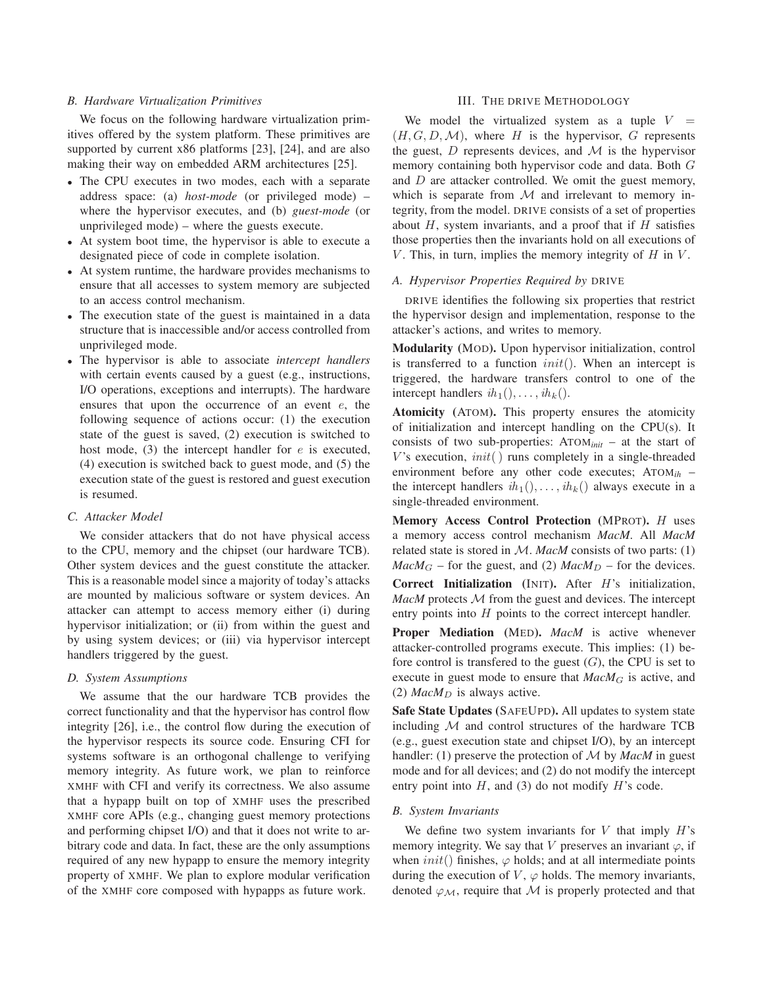## *B. Hardware Virtualization Primitives*

We focus on the following hardware virtualization primitives offered by the system platform. These primitives are supported by current x86 platforms [23], [24], and are also making their way on embedded ARM architectures [25].

- The CPU executes in two modes, each with a separate address space: (a) *host-mode* (or privileged mode) – where the hypervisor executes, and (b) *guest-mode* (or unprivileged mode) – where the guests execute.
- At system boot time, the hypervisor is able to execute a designated piece of code in complete isolation.
- At system runtime, the hardware provides mechanisms to ensure that all accesses to system memory are subjected to an access control mechanism.
- The execution state of the guest is maintained in a data structure that is inaccessible and/or access controlled from unprivileged mode.
- The hypervisor is able to associate *intercept handlers* with certain events caused by a guest (e.g., instructions, I/O operations, exceptions and interrupts). The hardware ensures that upon the occurrence of an event  $e$ , the following sequence of actions occur: (1) the execution state of the guest is saved, (2) execution is switched to host mode,  $(3)$  the intercept handler for  $e$  is executed, (4) execution is switched back to guest mode, and (5) the execution state of the guest is restored and guest execution is resumed.

## *C. Attacker Model*

We consider attackers that do not have physical access to the CPU, memory and the chipset (our hardware TCB). Other system devices and the guest constitute the attacker. This is a reasonable model since a majority of today's attacks are mounted by malicious software or system devices. An attacker can attempt to access memory either (i) during hypervisor initialization; or (ii) from within the guest and by using system devices; or (iii) via hypervisor intercept handlers triggered by the guest.

#### *D. System Assumptions*

We assume that the our hardware TCB provides the correct functionality and that the hypervisor has control flow integrity [26], i.e., the control flow during the execution of the hypervisor respects its source code. Ensuring CFI for systems software is an orthogonal challenge to verifying memory integrity. As future work, we plan to reinforce XMHF with CFI and verify its correctness. We also assume that a hypapp built on top of XMHF uses the prescribed XMHF core APIs (e.g., changing guest memory protections and performing chipset I/O) and that it does not write to arbitrary code and data. In fact, these are the only assumptions required of any new hypapp to ensure the memory integrity property of XMHF. We plan to explore modular verification of the XMHF core composed with hypapps as future work.

# III. THE DRIVE METHODOLOGY

We model the virtualized system as a tuple  $V =$  $(H, G, D, M)$ , where H is the hypervisor, G represents the guest,  $D$  represents devices, and  $M$  is the hypervisor memory containing both hypervisor code and data. Both G and D are attacker controlled. We omit the guest memory, which is separate from  $M$  and irrelevant to memory integrity, from the model. DRIVE consists of a set of properties about  $H$ , system invariants, and a proof that if  $H$  satisfies those properties then the invariants hold on all executions of V. This, in turn, implies the memory integrity of  $H$  in  $V$ .

#### *A. Hypervisor Properties Required by* DRIVE

DRIVE identifies the following six properties that restrict the hypervisor design and implementation, response to the attacker's actions, and writes to memory.

Modularity (MOD). Upon hypervisor initialization, control is transferred to a function  $init()$ . When an intercept is triggered, the hardware transfers control to one of the intercept handlers  $ih_1(), \ldots, ih_k($ .

Atomicity (ATOM). This property ensures the atomicity of initialization and intercept handling on the CPU(s). It consists of two sub-properties: ATOM*init* – at the start of  $V$ 's execution,  $init()$  runs completely in a single-threaded environment before any other code executes; ATOM*ih* – the intercept handlers  $ih_1(), \ldots, ih_k()$  always execute in a single-threaded environment.

Memory Access Control Protection (MPROT). H uses a memory access control mechanism *MacM*. All *MacM* related state is stored in M. *MacM* consists of two parts: (1)  $MacM<sub>G</sub>$  – for the guest, and (2)  $MacM<sub>D</sub>$  – for the devices.

Correct Initialization (INIT). After H's initialization, *MacM* protects M from the guest and devices. The intercept entry points into H points to the correct intercept handler.

Proper Mediation (MED). *MacM* is active whenever attacker-controlled programs execute. This implies: (1) before control is transfered to the guest  $(G)$ , the CPU is set to execute in guest mode to ensure that  $MacM_G$  is active, and (2)  $MacM<sub>D</sub>$  is always active.

Safe State Updates (SAFEUPD). All updates to system state including M and control structures of the hardware TCB (e.g., guest execution state and chipset I/O), by an intercept handler: (1) preserve the protection of M by *MacM* in guest mode and for all devices; and (2) do not modify the intercept entry point into  $H$ , and (3) do not modify  $H$ 's code.

#### *B. System Invariants*

We define two system invariants for  $V$  that imply  $H$ 's memory integrity. We say that V preserves an invariant  $\varphi$ , if when  $init()$  finishes,  $\varphi$  holds; and at all intermediate points during the execution of  $V$ ,  $\varphi$  holds. The memory invariants, denoted  $\varphi_M$ , require that M is properly protected and that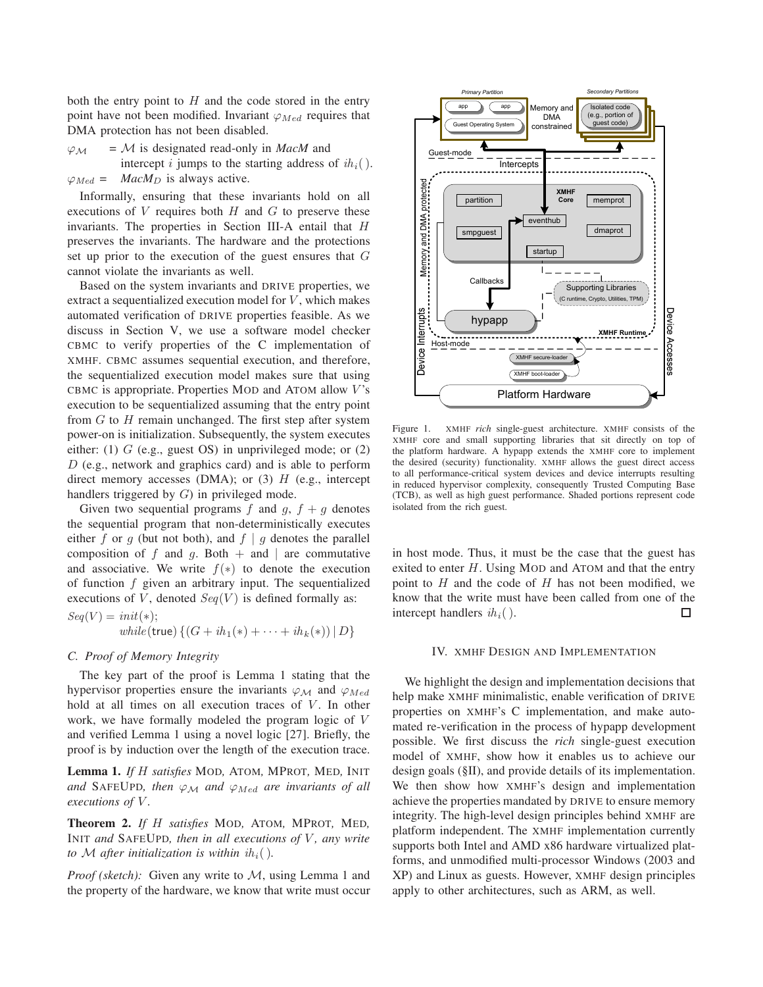both the entry point to  $H$  and the code stored in the entry point have not been modified. Invariant  $\varphi_{Med}$  requires that DMA protection has not been disabled.

 $\varphi_{\mathcal{M}}$  =  $\mathcal{M}$  is designated read-only in *MacM* and intercept i jumps to the starting address of  $ih_i($ ).  $\varphi_{Med} = MacM_D$  is always active.

Informally, ensuring that these invariants hold on all executions of  $V$  requires both  $H$  and  $G$  to preserve these invariants. The properties in Section III-A entail that H preserves the invariants. The hardware and the protections set up prior to the execution of the guest ensures that G cannot violate the invariants as well.

Based on the system invariants and DRIVE properties, we extract a sequentialized execution model for  $V$ , which makes automated verification of DRIVE properties feasible. As we discuss in Section V, we use a software model checker CBMC to verify properties of the C implementation of XMHF. CBMC assumes sequential execution, and therefore, the sequentialized execution model makes sure that using CBMC is appropriate. Properties MOD and ATOM allow  $V$ 's execution to be sequentialized assuming that the entry point from  $G$  to  $H$  remain unchanged. The first step after system power-on is initialization. Subsequently, the system executes either: (1)  $G$  (e.g., guest OS) in unprivileged mode; or (2) D (e.g., network and graphics card) and is able to perform direct memory accesses (DMA); or (3)  $H$  (e.g., intercept handlers triggered by G) in privileged mode.

Given two sequential programs f and q,  $f + q$  denotes the sequential program that non-deterministically executes either f or g (but not both), and  $f | g$  denotes the parallel composition of f and g. Both  $+$  and  $|$  are commutative and associative. We write  $f(*)$  to denote the execution of function  $f$  given an arbitrary input. The sequentialized executions of V, denoted  $Seq(V)$  is defined formally as:

$$
Seq(V) = init(*);
$$
  
while (true) { $(G + ih_1(*) + \cdots + ih_k(*)) | D$ }

## *C. Proof of Memory Integrity*

The key part of the proof is Lemma 1 stating that the hypervisor properties ensure the invariants  $\varphi_M$  and  $\varphi_{Med}$ hold at all times on all execution traces of  $V$ . In other work, we have formally modeled the program logic of V and verified Lemma 1 using a novel logic [27]. Briefly, the proof is by induction over the length of the execution trace.

Lemma 1. *If* H *satisfies* MOD*,* ATOM*,* MPROT*,* MED*,* INIT and SAFEUPD, then  $\varphi_{\mathcal{M}}$  and  $\varphi_{Med}$  are invariants of all *executions of* V *.*

Theorem 2. *If* H *satisfies* MOD*,* ATOM*,* MPROT*,* MED*,* INIT *and* SAFEUPD*, then in all executions of* V *, any write to*  $M$  *after initialization is within ih<sub>i</sub>().* 

*Proof (sketch)*: Given any write to *M*, using Lemma 1 and the property of the hardware, we know that write must occur



Figure 1. XMHF *rich* single-guest architecture. XMHF consists of the XMHF core and small supporting libraries that sit directly on top of the platform hardware. A hypapp extends the XMHF core to implement the desired (security) functionality. XMHF allows the guest direct access to all performance-critical system devices and device interrupts resulting in reduced hypervisor complexity, consequently Trusted Computing Base (TCB), as well as high guest performance. Shaded portions represent code isolated from the rich guest.

in host mode. Thus, it must be the case that the guest has exited to enter  $H$ . Using MOD and ATOM and that the entry point to  $H$  and the code of  $H$  has not been modified, we know that the write must have been called from one of the intercept handlers  $ih_i()$ .  $\Box$ 

#### IV. XMHF DESIGN AND IMPLEMENTATION

We highlight the design and implementation decisions that help make XMHF minimalistic, enable verification of DRIVE properties on XMHF's C implementation, and make automated re-verification in the process of hypapp development possible. We first discuss the *rich* single-guest execution model of XMHF, show how it enables us to achieve our design goals (§II), and provide details of its implementation. We then show how XMHF's design and implementation achieve the properties mandated by DRIVE to ensure memory integrity. The high-level design principles behind XMHF are platform independent. The XMHF implementation currently supports both Intel and AMD x86 hardware virtualized platforms, and unmodified multi-processor Windows (2003 and XP) and Linux as guests. However, XMHF design principles apply to other architectures, such as ARM, as well.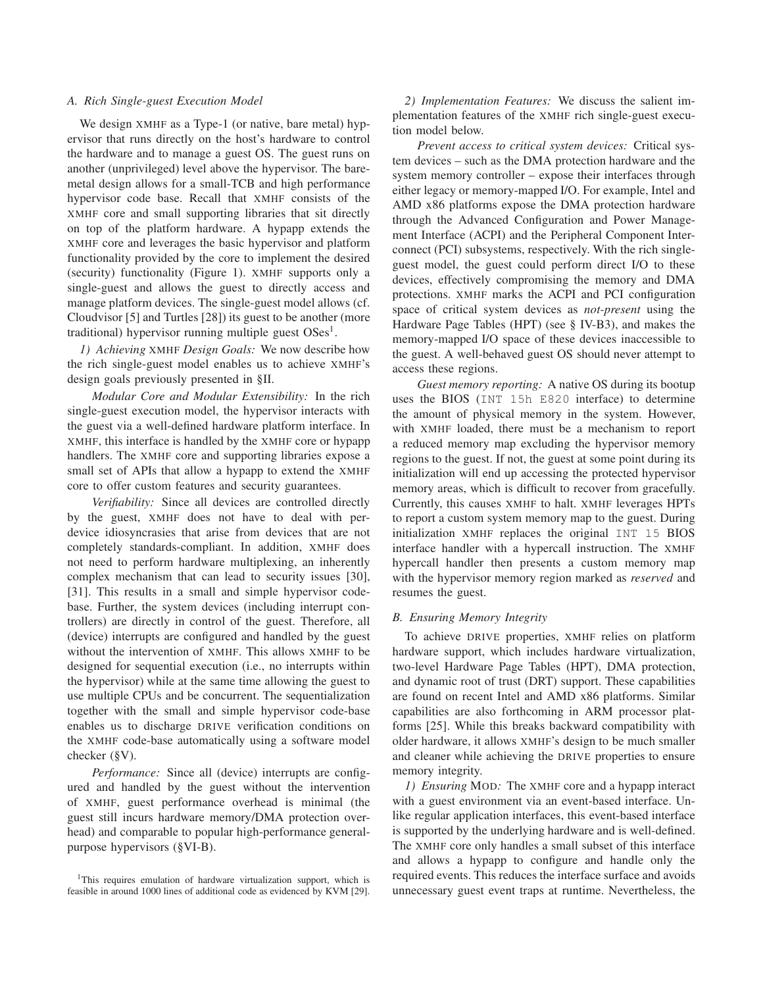# *A. Rich Single-guest Execution Model*

We design XMHF as a Type-1 (or native, bare metal) hypervisor that runs directly on the host's hardware to control the hardware and to manage a guest OS. The guest runs on another (unprivileged) level above the hypervisor. The baremetal design allows for a small-TCB and high performance hypervisor code base. Recall that XMHF consists of the XMHF core and small supporting libraries that sit directly on top of the platform hardware. A hypapp extends the XMHF core and leverages the basic hypervisor and platform functionality provided by the core to implement the desired (security) functionality (Figure 1). XMHF supports only a single-guest and allows the guest to directly access and manage platform devices. The single-guest model allows (cf. Cloudvisor [5] and Turtles [28]) its guest to be another (more traditional) hypervisor running multiple guest OSes<sup>1</sup>.

*1) Achieving* XMHF *Design Goals:* We now describe how the rich single-guest model enables us to achieve XMHF's design goals previously presented in §II.

*Modular Core and Modular Extensibility:* In the rich single-guest execution model, the hypervisor interacts with the guest via a well-defined hardware platform interface. In XMHF, this interface is handled by the XMHF core or hypapp handlers. The XMHF core and supporting libraries expose a small set of APIs that allow a hypapp to extend the XMHF core to offer custom features and security guarantees.

*Verifiability:* Since all devices are controlled directly by the guest, XMHF does not have to deal with perdevice idiosyncrasies that arise from devices that are not completely standards-compliant. In addition, XMHF does not need to perform hardware multiplexing, an inherently complex mechanism that can lead to security issues [30], [31]. This results in a small and simple hypervisor codebase. Further, the system devices (including interrupt controllers) are directly in control of the guest. Therefore, all (device) interrupts are configured and handled by the guest without the intervention of XMHF. This allows XMHF to be designed for sequential execution (i.e., no interrupts within the hypervisor) while at the same time allowing the guest to use multiple CPUs and be concurrent. The sequentialization together with the small and simple hypervisor code-base enables us to discharge DRIVE verification conditions on the XMHF code-base automatically using a software model checker (§V).

*Performance:* Since all (device) interrupts are configured and handled by the guest without the intervention of XMHF, guest performance overhead is minimal (the guest still incurs hardware memory/DMA protection overhead) and comparable to popular high-performance generalpurpose hypervisors (§VI-B).

*2) Implementation Features:* We discuss the salient implementation features of the XMHF rich single-guest execution model below.

*Prevent access to critical system devices:* Critical system devices – such as the DMA protection hardware and the system memory controller – expose their interfaces through either legacy or memory-mapped I/O. For example, Intel and AMD x86 platforms expose the DMA protection hardware through the Advanced Configuration and Power Management Interface (ACPI) and the Peripheral Component Interconnect (PCI) subsystems, respectively. With the rich singleguest model, the guest could perform direct I/O to these devices, effectively compromising the memory and DMA protections. XMHF marks the ACPI and PCI configuration space of critical system devices as *not-present* using the Hardware Page Tables (HPT) (see § IV-B3), and makes the memory-mapped I/O space of these devices inaccessible to the guest. A well-behaved guest OS should never attempt to access these regions.

*Guest memory reporting:* A native OS during its bootup uses the BIOS (INT 15h E820 interface) to determine the amount of physical memory in the system. However, with XMHF loaded, there must be a mechanism to report a reduced memory map excluding the hypervisor memory regions to the guest. If not, the guest at some point during its initialization will end up accessing the protected hypervisor memory areas, which is difficult to recover from gracefully. Currently, this causes XMHF to halt. XMHF leverages HPTs to report a custom system memory map to the guest. During initialization XMHF replaces the original INT 15 BIOS interface handler with a hypercall instruction. The XMHF hypercall handler then presents a custom memory map with the hypervisor memory region marked as *reserved* and resumes the guest.

#### *B. Ensuring Memory Integrity*

To achieve DRIVE properties, XMHF relies on platform hardware support, which includes hardware virtualization, two-level Hardware Page Tables (HPT), DMA protection, and dynamic root of trust (DRT) support. These capabilities are found on recent Intel and AMD x86 platforms. Similar capabilities are also forthcoming in ARM processor platforms [25]. While this breaks backward compatibility with older hardware, it allows XMHF's design to be much smaller and cleaner while achieving the DRIVE properties to ensure memory integrity.

*1) Ensuring* MOD*:* The XMHF core and a hypapp interact with a guest environment via an event-based interface. Unlike regular application interfaces, this event-based interface is supported by the underlying hardware and is well-defined. The XMHF core only handles a small subset of this interface and allows a hypapp to configure and handle only the required events. This reduces the interface surface and avoids unnecessary guest event traps at runtime. Nevertheless, the

<sup>&</sup>lt;sup>1</sup>This requires emulation of hardware virtualization support, which is feasible in around 1000 lines of additional code as evidenced by KVM [29].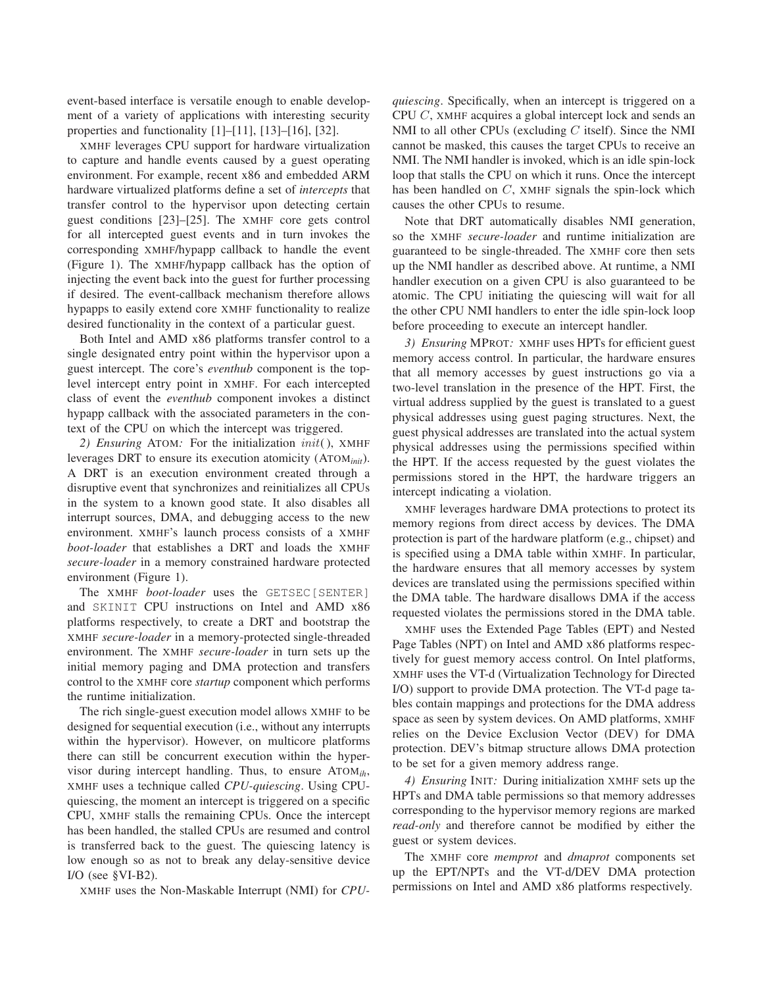event-based interface is versatile enough to enable development of a variety of applications with interesting security properties and functionality [1]–[11], [13]–[16], [32].

XMHF leverages CPU support for hardware virtualization to capture and handle events caused by a guest operating environment. For example, recent x86 and embedded ARM hardware virtualized platforms define a set of *intercepts* that transfer control to the hypervisor upon detecting certain guest conditions [23]–[25]. The XMHF core gets control for all intercepted guest events and in turn invokes the corresponding XMHF/hypapp callback to handle the event (Figure 1). The XMHF/hypapp callback has the option of injecting the event back into the guest for further processing if desired. The event-callback mechanism therefore allows hypapps to easily extend core XMHF functionality to realize desired functionality in the context of a particular guest.

Both Intel and AMD x86 platforms transfer control to a single designated entry point within the hypervisor upon a guest intercept. The core's *eventhub* component is the toplevel intercept entry point in XMHF. For each intercepted class of event the *eventhub* component invokes a distinct hypapp callback with the associated parameters in the context of the CPU on which the intercept was triggered.

*2) Ensuring* ATOM*:* For the initialization init( ), XMHF leverages DRT to ensure its execution atomicity (ATOM*init*). A DRT is an execution environment created through a disruptive event that synchronizes and reinitializes all CPUs in the system to a known good state. It also disables all interrupt sources, DMA, and debugging access to the new environment. XMHF's launch process consists of a XMHF *boot-loader* that establishes a DRT and loads the XMHF *secure-loader* in a memory constrained hardware protected environment (Figure 1).

The XMHF *boot-loader* uses the GETSEC[SENTER] and SKINIT CPU instructions on Intel and AMD x86 platforms respectively, to create a DRT and bootstrap the XMHF *secure-loader* in a memory-protected single-threaded environment. The XMHF *secure-loader* in turn sets up the initial memory paging and DMA protection and transfers control to the XMHF core *startup* component which performs the runtime initialization.

The rich single-guest execution model allows XMHF to be designed for sequential execution (i.e., without any interrupts within the hypervisor). However, on multicore platforms there can still be concurrent execution within the hypervisor during intercept handling. Thus, to ensure ATOM*ih*, XMHF uses a technique called *CPU-quiescing*. Using CPUquiescing, the moment an intercept is triggered on a specific CPU, XMHF stalls the remaining CPUs. Once the intercept has been handled, the stalled CPUs are resumed and control is transferred back to the guest. The quiescing latency is low enough so as not to break any delay-sensitive device I/O (see §VI-B2).

XMHF uses the Non-Maskable Interrupt (NMI) for *CPU-*

*quiescing*. Specifically, when an intercept is triggered on a CPU C, XMHF acquires a global intercept lock and sends an NMI to all other CPUs (excluding  $C$  itself). Since the NMI cannot be masked, this causes the target CPUs to receive an NMI. The NMI handler is invoked, which is an idle spin-lock loop that stalls the CPU on which it runs. Once the intercept has been handled on C, XMHF signals the spin-lock which causes the other CPUs to resume.

Note that DRT automatically disables NMI generation, so the XMHF *secure-loader* and runtime initialization are guaranteed to be single-threaded. The XMHF core then sets up the NMI handler as described above. At runtime, a NMI handler execution on a given CPU is also guaranteed to be atomic. The CPU initiating the quiescing will wait for all the other CPU NMI handlers to enter the idle spin-lock loop before proceeding to execute an intercept handler.

*3) Ensuring* MPROT*:* XMHF uses HPTs for efficient guest memory access control. In particular, the hardware ensures that all memory accesses by guest instructions go via a two-level translation in the presence of the HPT. First, the virtual address supplied by the guest is translated to a guest physical addresses using guest paging structures. Next, the guest physical addresses are translated into the actual system physical addresses using the permissions specified within the HPT. If the access requested by the guest violates the permissions stored in the HPT, the hardware triggers an intercept indicating a violation.

XMHF leverages hardware DMA protections to protect its memory regions from direct access by devices. The DMA protection is part of the hardware platform (e.g., chipset) and is specified using a DMA table within XMHF. In particular, the hardware ensures that all memory accesses by system devices are translated using the permissions specified within the DMA table. The hardware disallows DMA if the access requested violates the permissions stored in the DMA table.

XMHF uses the Extended Page Tables (EPT) and Nested Page Tables (NPT) on Intel and AMD x86 platforms respectively for guest memory access control. On Intel platforms, XMHF uses the VT-d (Virtualization Technology for Directed I/O) support to provide DMA protection. The VT-d page tables contain mappings and protections for the DMA address space as seen by system devices. On AMD platforms, XMHF relies on the Device Exclusion Vector (DEV) for DMA protection. DEV's bitmap structure allows DMA protection to be set for a given memory address range.

*4) Ensuring* INIT*:* During initialization XMHF sets up the HPTs and DMA table permissions so that memory addresses corresponding to the hypervisor memory regions are marked *read-only* and therefore cannot be modified by either the guest or system devices.

The XMHF core *memprot* and *dmaprot* components set up the EPT/NPTs and the VT-d/DEV DMA protection permissions on Intel and AMD x86 platforms respectively.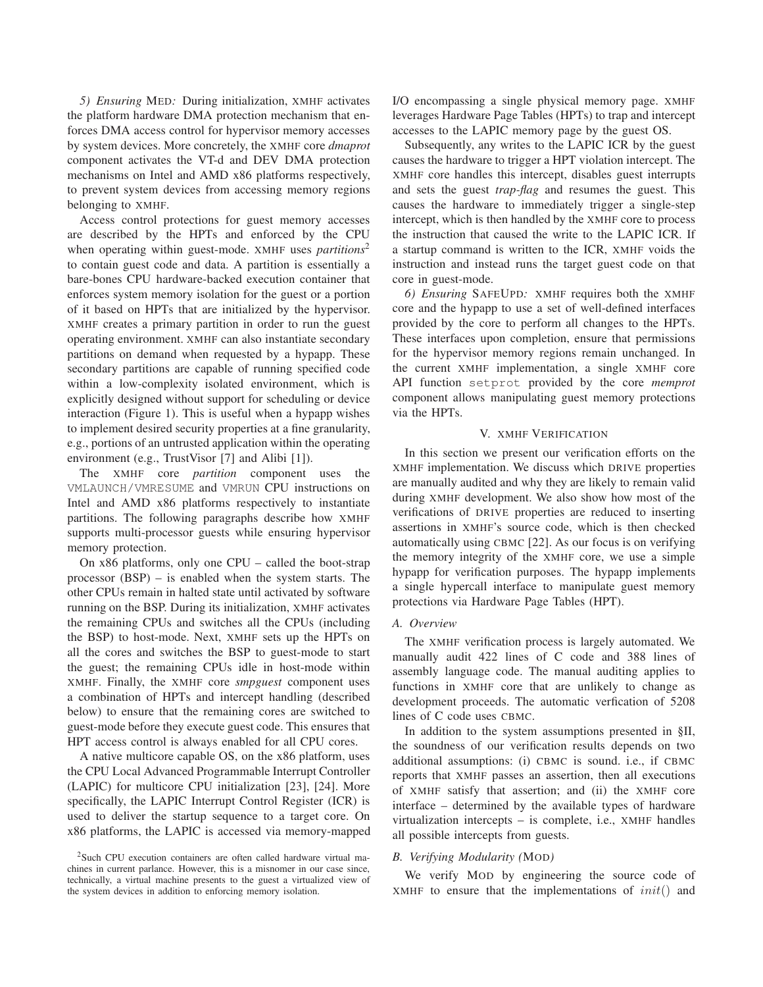*5) Ensuring* MED*:* During initialization, XMHF activates the platform hardware DMA protection mechanism that enforces DMA access control for hypervisor memory accesses by system devices. More concretely, the XMHF core *dmaprot* component activates the VT-d and DEV DMA protection mechanisms on Intel and AMD x86 platforms respectively, to prevent system devices from accessing memory regions belonging to XMHF.

Access control protections for guest memory accesses are described by the HPTs and enforced by the CPU when operating within guest-mode. XMHF uses *partitions*<sup>2</sup> to contain guest code and data. A partition is essentially a bare-bones CPU hardware-backed execution container that enforces system memory isolation for the guest or a portion of it based on HPTs that are initialized by the hypervisor. XMHF creates a primary partition in order to run the guest operating environment. XMHF can also instantiate secondary partitions on demand when requested by a hypapp. These secondary partitions are capable of running specified code within a low-complexity isolated environment, which is explicitly designed without support for scheduling or device interaction (Figure 1). This is useful when a hypapp wishes to implement desired security properties at a fine granularity, e.g., portions of an untrusted application within the operating environment (e.g., TrustVisor [7] and Alibi [1]).

The XMHF core *partition* component uses the VMLAUNCH/VMRESUME and VMRUN CPU instructions on Intel and AMD x86 platforms respectively to instantiate partitions. The following paragraphs describe how XMHF supports multi-processor guests while ensuring hypervisor memory protection.

On x86 platforms, only one CPU – called the boot-strap processor (BSP) – is enabled when the system starts. The other CPUs remain in halted state until activated by software running on the BSP. During its initialization, XMHF activates the remaining CPUs and switches all the CPUs (including the BSP) to host-mode. Next, XMHF sets up the HPTs on all the cores and switches the BSP to guest-mode to start the guest; the remaining CPUs idle in host-mode within XMHF. Finally, the XMHF core *smpguest* component uses a combination of HPTs and intercept handling (described below) to ensure that the remaining cores are switched to guest-mode before they execute guest code. This ensures that HPT access control is always enabled for all CPU cores.

A native multicore capable OS, on the x86 platform, uses the CPU Local Advanced Programmable Interrupt Controller (LAPIC) for multicore CPU initialization [23], [24]. More specifically, the LAPIC Interrupt Control Register (ICR) is used to deliver the startup sequence to a target core. On x86 platforms, the LAPIC is accessed via memory-mapped I/O encompassing a single physical memory page. XMHF leverages Hardware Page Tables (HPTs) to trap and intercept accesses to the LAPIC memory page by the guest OS.

Subsequently, any writes to the LAPIC ICR by the guest causes the hardware to trigger a HPT violation intercept. The XMHF core handles this intercept, disables guest interrupts and sets the guest *trap-flag* and resumes the guest. This causes the hardware to immediately trigger a single-step intercept, which is then handled by the XMHF core to process the instruction that caused the write to the LAPIC ICR. If a startup command is written to the ICR, XMHF voids the instruction and instead runs the target guest code on that core in guest-mode.

*6) Ensuring* SAFEUPD*:* XMHF requires both the XMHF core and the hypapp to use a set of well-defined interfaces provided by the core to perform all changes to the HPTs. These interfaces upon completion, ensure that permissions for the hypervisor memory regions remain unchanged. In the current XMHF implementation, a single XMHF core API function setprot provided by the core *memprot* component allows manipulating guest memory protections via the HPTs.

## V. XMHF VERIFICATION

In this section we present our verification efforts on the XMHF implementation. We discuss which DRIVE properties are manually audited and why they are likely to remain valid during XMHF development. We also show how most of the verifications of DRIVE properties are reduced to inserting assertions in XMHF's source code, which is then checked automatically using CBMC [22]. As our focus is on verifying the memory integrity of the XMHF core, we use a simple hypapp for verification purposes. The hypapp implements a single hypercall interface to manipulate guest memory protections via Hardware Page Tables (HPT).

# *A. Overview*

The XMHF verification process is largely automated. We manually audit 422 lines of C code and 388 lines of assembly language code. The manual auditing applies to functions in XMHF core that are unlikely to change as development proceeds. The automatic verfication of 5208 lines of C code uses CBMC.

In addition to the system assumptions presented in §II, the soundness of our verification results depends on two additional assumptions: (i) CBMC is sound. i.e., if CBMC reports that XMHF passes an assertion, then all executions of XMHF satisfy that assertion; and (ii) the XMHF core interface – determined by the available types of hardware virtualization intercepts – is complete, i.e., XMHF handles all possible intercepts from guests.

#### *B. Verifying Modularity (*MOD*)*

We verify MOD by engineering the source code of XMHF to ensure that the implementations of  $init()$  and

<sup>2</sup>Such CPU execution containers are often called hardware virtual machines in current parlance. However, this is a misnomer in our case since, technically, a virtual machine presents to the guest a virtualized view of the system devices in addition to enforcing memory isolation.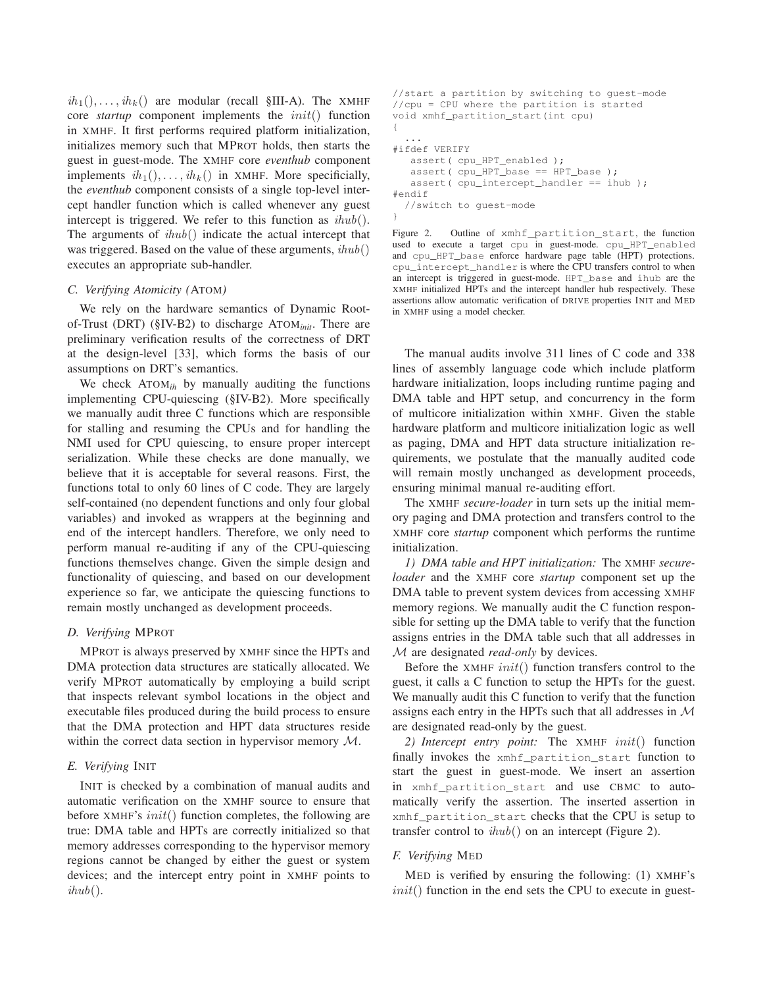$ih_1(), \ldots, ih_k()$  are modular (recall §III-A). The XMHF core *startup* component implements the init() function in XMHF. It first performs required platform initialization, initializes memory such that MPROT holds, then starts the guest in guest-mode. The XMHF core *eventhub* component implements  $ih_1(), \ldots, ih_k()$  in XMHF. More specificially, the *eventhub* component consists of a single top-level intercept handler function which is called whenever any guest intercept is triggered. We refer to this function as  $ihub()$ . The arguments of ihub() indicate the actual intercept that was triggered. Based on the value of these arguments,  $ihub()$ executes an appropriate sub-handler.

## *C. Verifying Atomicity (*ATOM*)*

We rely on the hardware semantics of Dynamic Rootof-Trust (DRT) (§IV-B2) to discharge ATOM*init*. There are preliminary verification results of the correctness of DRT at the design-level [33], which forms the basis of our assumptions on DRT's semantics.

We check ATOM<sub>*ih*</sub> by manually auditing the functions implementing CPU-quiescing (§IV-B2). More specifically we manually audit three C functions which are responsible for stalling and resuming the CPUs and for handling the NMI used for CPU quiescing, to ensure proper intercept serialization. While these checks are done manually, we believe that it is acceptable for several reasons. First, the functions total to only 60 lines of C code. They are largely self-contained (no dependent functions and only four global variables) and invoked as wrappers at the beginning and end of the intercept handlers. Therefore, we only need to perform manual re-auditing if any of the CPU-quiescing functions themselves change. Given the simple design and functionality of quiescing, and based on our development experience so far, we anticipate the quiescing functions to remain mostly unchanged as development proceeds.

## *D. Verifying* MPROT

MPROT is always preserved by XMHF since the HPTs and DMA protection data structures are statically allocated. We verify MPROT automatically by employing a build script that inspects relevant symbol locations in the object and executable files produced during the build process to ensure that the DMA protection and HPT data structures reside within the correct data section in hypervisor memory M.

# *E. Verifying* INIT

INIT is checked by a combination of manual audits and automatic verification on the XMHF source to ensure that before XMHF's  $init()$  function completes, the following are true: DMA table and HPTs are correctly initialized so that memory addresses corresponding to the hypervisor memory regions cannot be changed by either the guest or system devices; and the intercept entry point in XMHF points to  $ihub()$ .

```
//start a partition by switching to guest-mode
//cpu = CPU where the partition is started
void xmhf_partition_start(int cpu)
{
  ...
#ifdef VERIFY
   assert( cpu_HPT_enabled );
   assert( cpu_HPT_base == HPT_base );
   assert( cpu_intercept_handler == ihub );
#endif
  //switch to guest-mode
}
```
Figure 2. Outline of  $x$ mhf\_partition\_start, the function used to execute a target cpu in guest-mode. cpu\_HPT\_enabled and cpu\_HPT\_base enforce hardware page table (HPT) protections. cpu\_intercept\_handler is where the CPU transfers control to when an intercept is triggered in guest-mode. HPT\_base and ihub are the XMHF initialized HPTs and the intercept handler hub respectively. These assertions allow automatic verification of DRIVE properties INIT and MED in XMHF using a model checker.

The manual audits involve 311 lines of C code and 338 lines of assembly language code which include platform hardware initialization, loops including runtime paging and DMA table and HPT setup, and concurrency in the form of multicore initialization within XMHF. Given the stable hardware platform and multicore initialization logic as well as paging, DMA and HPT data structure initialization requirements, we postulate that the manually audited code will remain mostly unchanged as development proceeds, ensuring minimal manual re-auditing effort.

The XMHF *secure-loader* in turn sets up the initial memory paging and DMA protection and transfers control to the XMHF core *startup* component which performs the runtime initialization.

*1) DMA table and HPT initialization:* The XMHF *secureloader* and the XMHF core *startup* component set up the DMA table to prevent system devices from accessing XMHF memory regions. We manually audit the C function responsible for setting up the DMA table to verify that the function assigns entries in the DMA table such that all addresses in M are designated *read-only* by devices.

Before the XMHF  $init()$  function transfers control to the guest, it calls a C function to setup the HPTs for the guest. We manually audit this C function to verify that the function assigns each entry in the HPTs such that all addresses in M are designated read-only by the guest.

*2) Intercept entry point:* The XMHF init() function finally invokes the xmhf\_partition\_start function to start the guest in guest-mode. We insert an assertion in xmhf\_partition\_start and use CBMC to automatically verify the assertion. The inserted assertion in xmhf\_partition\_start checks that the CPU is setup to transfer control to  $ihub()$  on an intercept (Figure 2).

#### *F. Verifying* MED

MED is verified by ensuring the following: (1) XMHF's  $init()$  function in the end sets the CPU to execute in guest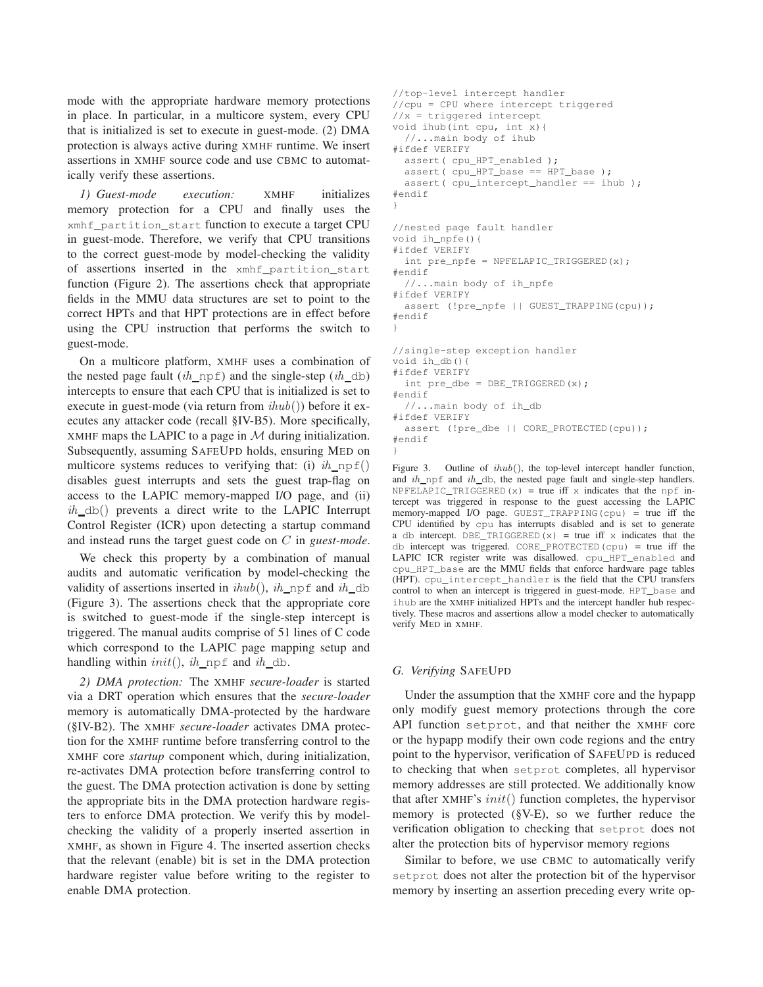mode with the appropriate hardware memory protections in place. In particular, in a multicore system, every CPU that is initialized is set to execute in guest-mode. (2) DMA protection is always active during XMHF runtime. We insert assertions in XMHF source code and use CBMC to automatically verify these assertions.

*1) Guest-mode execution:* XMHF initializes memory protection for a CPU and finally uses the xmhf\_partition\_start function to execute a target CPU in guest-mode. Therefore, we verify that CPU transitions to the correct guest-mode by model-checking the validity of assertions inserted in the xmhf\_partition\_start function (Figure 2). The assertions check that appropriate fields in the MMU data structures are set to point to the correct HPTs and that HPT protections are in effect before using the CPU instruction that performs the switch to guest-mode.

On a multicore platform, XMHF uses a combination of the nested page fault  $(ih_{\text{npf}})$  and the single-step  $(ih_{\text{d}}b)$ intercepts to ensure that each CPU that is initialized is set to execute in guest-mode (via return from  $ihub()$ ) before it executes any attacker code (recall §IV-B5). More specifically, XMHF maps the LAPIC to a page in  $M$  during initialization. Subsequently, assuming SAFEUPD holds, ensuring MED on multicore systems reduces to verifying that: (i)  $ih\_npf()$ disables guest interrupts and sets the guest trap-flag on access to the LAPIC memory-mapped I/O page, and (ii)  $ih_d$  db() prevents a direct write to the LAPIC Interrupt Control Register (ICR) upon detecting a startup command and instead runs the target guest code on C in *guest-mode*.

We check this property by a combination of manual audits and automatic verification by model-checking the validity of assertions inserted in  $ihub()$ ,  $ih\_npf$  and  $ih\_db$ (Figure 3). The assertions check that the appropriate core is switched to guest-mode if the single-step intercept is triggered. The manual audits comprise of 51 lines of C code which correspond to the LAPIC page mapping setup and handling within  $init()$ ,  $ih\_npf$  and  $ih\_db$ .

*2) DMA protection:* The XMHF *secure-loader* is started via a DRT operation which ensures that the *secure-loader* memory is automatically DMA-protected by the hardware (§IV-B2). The XMHF *secure-loader* activates DMA protection for the XMHF runtime before transferring control to the XMHF core *startup* component which, during initialization, re-activates DMA protection before transferring control to the guest. The DMA protection activation is done by setting the appropriate bits in the DMA protection hardware registers to enforce DMA protection. We verify this by modelchecking the validity of a properly inserted assertion in XMHF, as shown in Figure 4. The inserted assertion checks that the relevant (enable) bit is set in the DMA protection hardware register value before writing to the register to enable DMA protection.

```
//top-level intercept handler
//cpu = CPU where intercept triggered
//x = triggered interceptvoid ihub(int cpu, int x){
  //...main body of ihub
#ifdef VERIFY
  assert( cpu_HPT_enabled );
  assert( cpu_HPT_base == HPT_base );
  assert( cpu_intercept_handler == ihub );
#endif
}
//nested page fault handler
void ih_npfe(){
#ifdef VERIFY
  int pre_npfe = NPFELAPIC_TRIGGERED(x);
#endif
  //...main body of ih_npfe
#ifdef VERIFY
  assert (!pre_npfe || GUEST_TRAPPING(cpu));
#endif
}
//single-step exception handler
void ih_db(){
#ifdef VERIFY
```
int pre\_dbe = DBE\_TRIGGERED(x); #endif //...main body of ih\_db #ifdef VERIFY assert (!pre\_dbe || CORE\_PROTECTED(cpu)); #endif

Figure 3. Outline of  $ihub()$ , the top-level intercept handler function, and  $ih\_npf$  and  $ih\_db$ , the nested page fault and single-step handlers. NPFELAPIC\_TRIGGERED(x) = true iff x indicates that the npf intercept was triggered in response to the guest accessing the LAPIC memory-mapped I/O page. GUEST\_TRAPPING(cpu) = true iff the CPU identified by cpu has interrupts disabled and is set to generate a db intercept. DBE\_TRIGGERED(x) = true iff x indicates that the db intercept was triggered. CORE\_PROTECTED(cpu) = true iff the LAPIC ICR register write was disallowed. cpu\_HPT\_enabled and cpu\_HPT\_base are the MMU fields that enforce hardware page tables (HPT). cpu\_intercept\_handler is the field that the CPU transfers control to when an intercept is triggered in guest-mode. HPT\_base and ihub are the XMHF initialized HPTs and the intercept handler hub respectively. These macros and assertions allow a model checker to automatically verify MED in XMHF.

## *G. Verifying* SAFEUPD

}

Under the assumption that the XMHF core and the hypapp only modify guest memory protections through the core API function setprot, and that neither the XMHF core or the hypapp modify their own code regions and the entry point to the hypervisor, verification of SAFEUPD is reduced to checking that when setprot completes, all hypervisor memory addresses are still protected. We additionally know that after XMHF's  $init()$  function completes, the hypervisor memory is protected (§V-E), so we further reduce the verification obligation to checking that setprot does not alter the protection bits of hypervisor memory regions

Similar to before, we use CBMC to automatically verify setprot does not alter the protection bit of the hypervisor memory by inserting an assertion preceding every write op-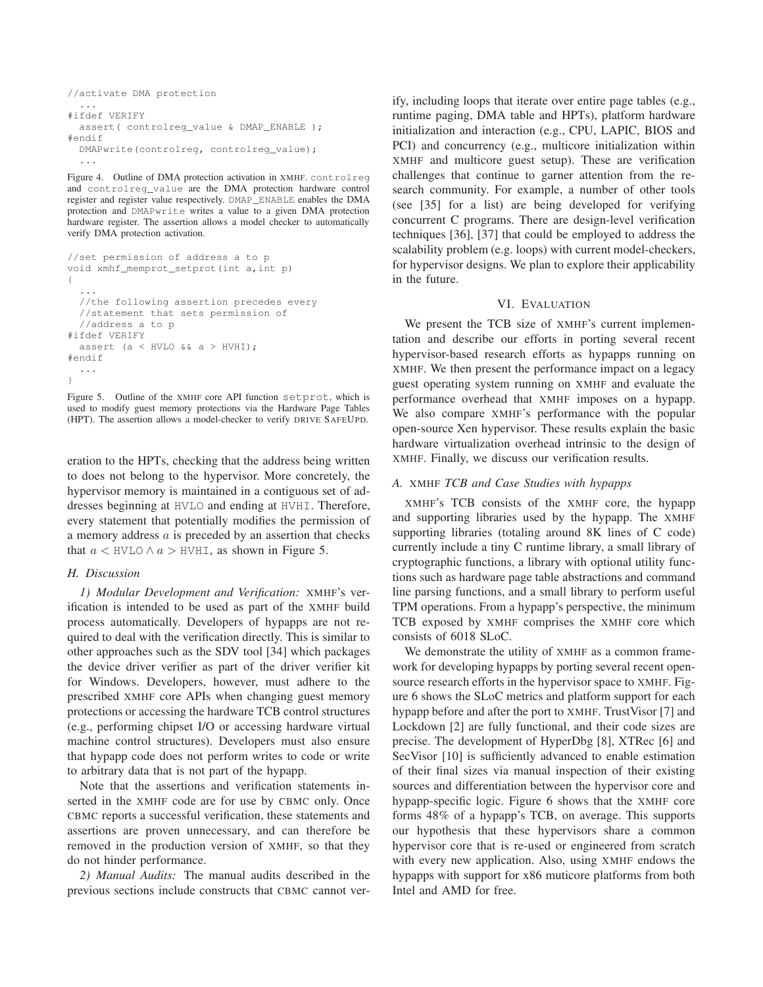```
//activate DMA protection
  ...
#ifdef VERIFY
  assert( controlreg_value & DMAP_ENABLE );
#endif
 DMAPwrite(controlreg, controlreg_value);
  ...
```
Figure 4. Outline of DMA protection activation in XMHF. controlreg and controlreg\_value are the DMA protection hardware control register and register value respectively. DMAP\_ENABLE enables the DMA protection and DMAPwrite writes a value to a given DMA protection hardware register. The assertion allows a model checker to automatically verify DMA protection activation.

```
//set permission of address a to p
void xmhf_memprot_setprot(int a,int p)
{
  ...
  //the following assertion precedes every
  //statement that sets permission of
  //address a to p
#ifdef VERIFY
 assert (a < HVLO &a > HVHI);
#endif
  ...
}
```
Figure 5. Outline of the XMHF core API function setprot, which is used to modify guest memory protections via the Hardware Page Tables (HPT). The assertion allows a model-checker to verify DRIVE SAFEUPD.

eration to the HPTs, checking that the address being written to does not belong to the hypervisor. More concretely, the hypervisor memory is maintained in a contiguous set of addresses beginning at HVLO and ending at HVHI. Therefore, every statement that potentially modifies the permission of a memory address a is preceded by an assertion that checks that  $a$  < HVLO  $\wedge$   $a$  > HVHI, as shown in Figure 5.

# *H. Discussion*

*1) Modular Development and Verification:* XMHF's verification is intended to be used as part of the XMHF build process automatically. Developers of hypapps are not required to deal with the verification directly. This is similar to other approaches such as the SDV tool [34] which packages the device driver verifier as part of the driver verifier kit for Windows. Developers, however, must adhere to the prescribed XMHF core APIs when changing guest memory protections or accessing the hardware TCB control structures (e.g., performing chipset I/O or accessing hardware virtual machine control structures). Developers must also ensure that hypapp code does not perform writes to code or write to arbitrary data that is not part of the hypapp.

Note that the assertions and verification statements inserted in the XMHF code are for use by CBMC only. Once CBMC reports a successful verification, these statements and assertions are proven unnecessary, and can therefore be removed in the production version of XMHF, so that they do not hinder performance.

*2) Manual Audits:* The manual audits described in the previous sections include constructs that CBMC cannot verify, including loops that iterate over entire page tables (e.g., runtime paging, DMA table and HPTs), platform hardware initialization and interaction (e.g., CPU, LAPIC, BIOS and PCI) and concurrency (e.g., multicore initialization within XMHF and multicore guest setup). These are verification challenges that continue to garner attention from the research community. For example, a number of other tools (see [35] for a list) are being developed for verifying concurrent C programs. There are design-level verification techniques [36], [37] that could be employed to address the scalability problem (e.g. loops) with current model-checkers, for hypervisor designs. We plan to explore their applicability in the future.

## VI. EVALUATION

We present the TCB size of XMHF's current implementation and describe our efforts in porting several recent hypervisor-based research efforts as hypapps running on XMHF. We then present the performance impact on a legacy guest operating system running on XMHF and evaluate the performance overhead that XMHF imposes on a hypapp. We also compare XMHF's performance with the popular open-source Xen hypervisor. These results explain the basic hardware virtualization overhead intrinsic to the design of XMHF. Finally, we discuss our verification results.

## *A.* XMHF *TCB and Case Studies with hypapps*

XMHF's TCB consists of the XMHF core, the hypapp and supporting libraries used by the hypapp. The XMHF supporting libraries (totaling around 8K lines of C code) currently include a tiny C runtime library, a small library of cryptographic functions, a library with optional utility functions such as hardware page table abstractions and command line parsing functions, and a small library to perform useful TPM operations. From a hypapp's perspective, the minimum TCB exposed by XMHF comprises the XMHF core which consists of 6018 SLoC.

We demonstrate the utility of XMHF as a common framework for developing hypapps by porting several recent opensource research efforts in the hypervisor space to XMHF. Figure 6 shows the SLoC metrics and platform support for each hypapp before and after the port to XMHF. TrustVisor [7] and Lockdown [2] are fully functional, and their code sizes are precise. The development of HyperDbg [8], XTRec [6] and SecVisor [10] is sufficiently advanced to enable estimation of their final sizes via manual inspection of their existing sources and differentiation between the hypervisor core and hypapp-specific logic. Figure 6 shows that the XMHF core forms 48% of a hypapp's TCB, on average. This supports our hypothesis that these hypervisors share a common hypervisor core that is re-used or engineered from scratch with every new application. Also, using XMHF endows the hypapps with support for x86 muticore platforms from both Intel and AMD for free.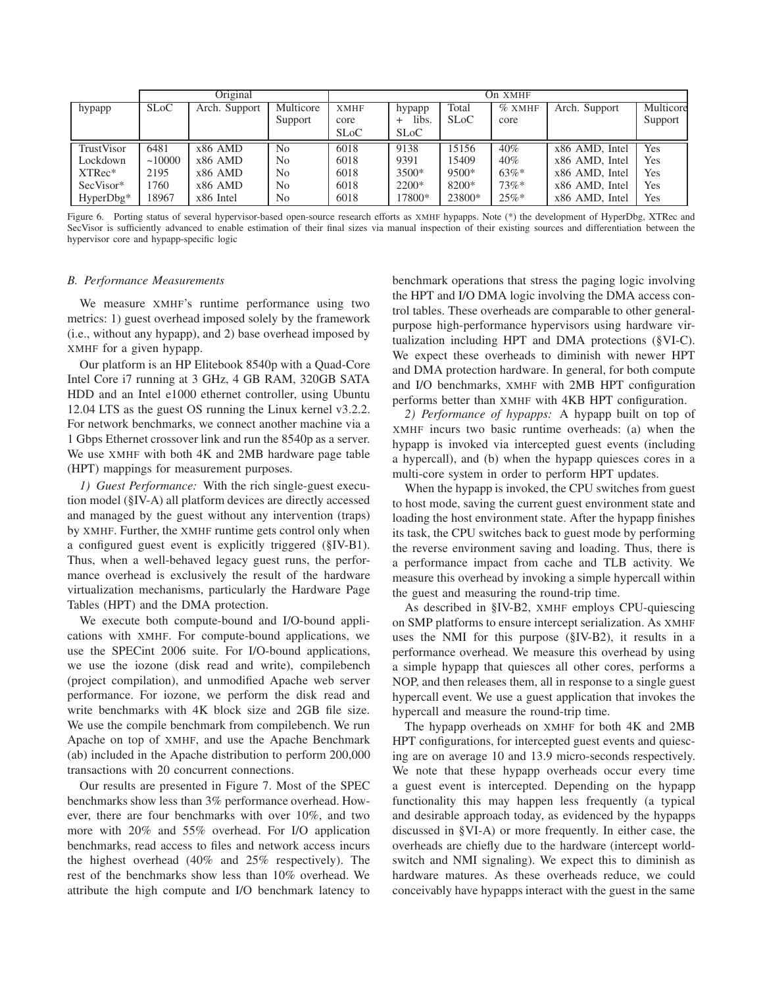|            |             | Original      |                | On XMHF     |             |             |           |                |           |  |
|------------|-------------|---------------|----------------|-------------|-------------|-------------|-----------|----------------|-----------|--|
| hypapp     | <b>SLoC</b> | Arch. Support | Multicore      | <b>XMHF</b> | hypapp      | Total       | $\%$ XMHF | Arch. Support  | Multicore |  |
|            |             |               | Support        | core        | libs.       | <b>SLoC</b> | core      |                | Support   |  |
|            |             |               |                | <b>SLoC</b> | <b>SLoC</b> |             |           |                |           |  |
| TrustVisor | 6481        | $x86$ AMD     | N <sub>o</sub> | 6018        | 9138        | 15156       | 40%       | x86 AMD, Intel | Yes       |  |
| Lockdown   | ~10000      | $x86$ AMD     | N <sub>0</sub> | 6018        | 9391        | 15409       | $40\%$    | x86 AMD, Intel | Yes       |  |
| XTRec*     | 2195        | $x86$ AMD     | No.            | 6018        | 3500*       | 9500*       | $63\%*$   | x86 AMD, Intel | Yes       |  |
| SecVisor*  | 1760        | $x86$ AMD     | N <sub>0</sub> | 6018        | $2200*$     | 8200*       | $73%$ *   | x86 AMD, Intel | Yes       |  |
| HyperDbg*  | 18967       | x86 Intel     | N <sub>0</sub> | 6018        | 17800*      | 23800*      | $25\%*$   | x86 AMD, Intel | Yes       |  |

Figure 6. Porting status of several hypervisor-based open-source research efforts as XMHF hypapps. Note (\*) the development of HyperDbg, XTRec and SecVisor is sufficiently advanced to enable estimation of their final sizes via manual inspection of their existing sources and differentiation between the hypervisor core and hypapp-specific logic

## *B. Performance Measurements*

We measure XMHF's runtime performance using two metrics: 1) guest overhead imposed solely by the framework (i.e., without any hypapp), and 2) base overhead imposed by XMHF for a given hypapp.

Our platform is an HP Elitebook 8540p with a Quad-Core Intel Core i7 running at 3 GHz, 4 GB RAM, 320GB SATA HDD and an Intel e1000 ethernet controller, using Ubuntu 12.04 LTS as the guest OS running the Linux kernel v3.2.2. For network benchmarks, we connect another machine via a 1 Gbps Ethernet crossover link and run the 8540p as a server. We use XMHF with both 4K and 2MB hardware page table (HPT) mappings for measurement purposes.

*1) Guest Performance:* With the rich single-guest execution model (§IV-A) all platform devices are directly accessed and managed by the guest without any intervention (traps) by XMHF. Further, the XMHF runtime gets control only when a configured guest event is explicitly triggered (§IV-B1). Thus, when a well-behaved legacy guest runs, the performance overhead is exclusively the result of the hardware virtualization mechanisms, particularly the Hardware Page Tables (HPT) and the DMA protection.

We execute both compute-bound and I/O-bound applications with XMHF. For compute-bound applications, we use the SPECint 2006 suite. For I/O-bound applications, we use the iozone (disk read and write), compilebench (project compilation), and unmodified Apache web server performance. For iozone, we perform the disk read and write benchmarks with 4K block size and 2GB file size. We use the compile benchmark from compilebench. We run Apache on top of XMHF, and use the Apache Benchmark (ab) included in the Apache distribution to perform 200,000 transactions with 20 concurrent connections.

Our results are presented in Figure 7. Most of the SPEC benchmarks show less than 3% performance overhead. However, there are four benchmarks with over 10%, and two more with 20% and 55% overhead. For I/O application benchmarks, read access to files and network access incurs the highest overhead (40% and 25% respectively). The rest of the benchmarks show less than 10% overhead. We attribute the high compute and I/O benchmark latency to benchmark operations that stress the paging logic involving the HPT and I/O DMA logic involving the DMA access control tables. These overheads are comparable to other generalpurpose high-performance hypervisors using hardware virtualization including HPT and DMA protections (§VI-C). We expect these overheads to diminish with newer HPT and DMA protection hardware. In general, for both compute and I/O benchmarks, XMHF with 2MB HPT configuration performs better than XMHF with 4KB HPT configuration.

*2) Performance of hypapps:* A hypapp built on top of XMHF incurs two basic runtime overheads: (a) when the hypapp is invoked via intercepted guest events (including a hypercall), and (b) when the hypapp quiesces cores in a multi-core system in order to perform HPT updates.

When the hypapp is invoked, the CPU switches from guest to host mode, saving the current guest environment state and loading the host environment state. After the hypapp finishes its task, the CPU switches back to guest mode by performing the reverse environment saving and loading. Thus, there is a performance impact from cache and TLB activity. We measure this overhead by invoking a simple hypercall within the guest and measuring the round-trip time.

As described in §IV-B2, XMHF employs CPU-quiescing on SMP platforms to ensure intercept serialization. As XMHF uses the NMI for this purpose (§IV-B2), it results in a performance overhead. We measure this overhead by using a simple hypapp that quiesces all other cores, performs a NOP, and then releases them, all in response to a single guest hypercall event. We use a guest application that invokes the hypercall and measure the round-trip time.

The hypapp overheads on XMHF for both 4K and 2MB HPT configurations, for intercepted guest events and quiescing are on average 10 and 13.9 micro-seconds respectively. We note that these hypapp overheads occur every time a guest event is intercepted. Depending on the hypapp functionality this may happen less frequently (a typical and desirable approach today, as evidenced by the hypapps discussed in §VI-A) or more frequently. In either case, the overheads are chiefly due to the hardware (intercept worldswitch and NMI signaling). We expect this to diminish as hardware matures. As these overheads reduce, we could conceivably have hypapps interact with the guest in the same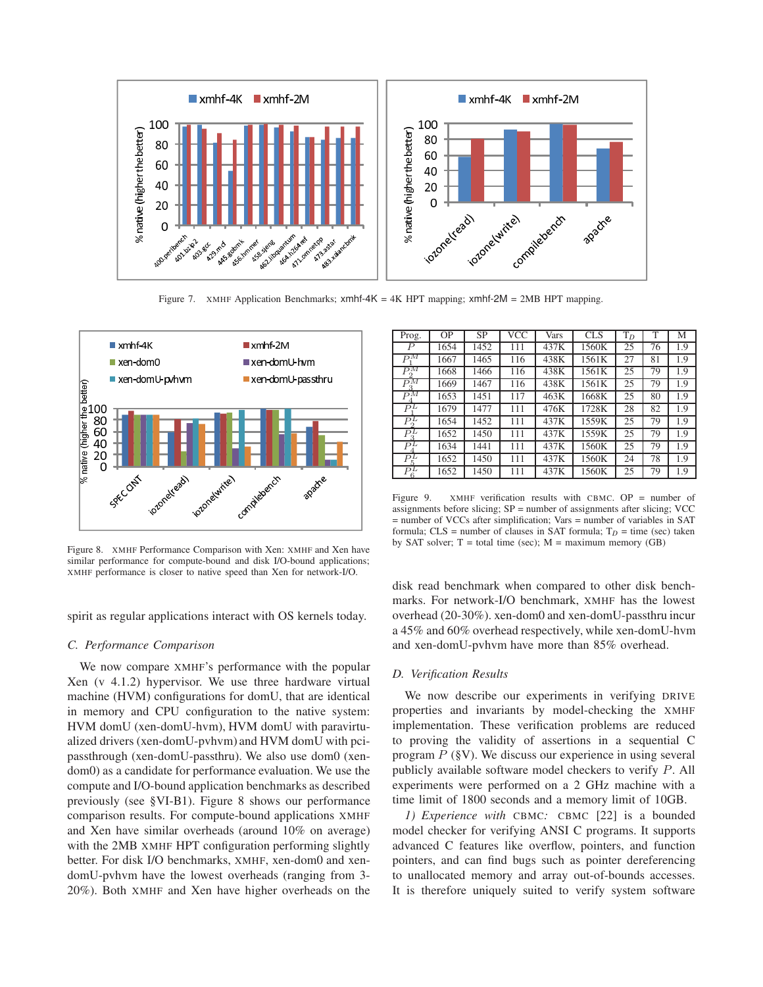

Figure 7. XMHF Application Benchmarks; xmhf-4K = 4K HPT mapping; xmhf-2M = 2MB HPT mapping.



Figure 8. XMHF Performance Comparison with Xen: XMHF and Xen have similar performance for compute-bound and disk I/O-bound applications; XMHF performance is closer to native speed than Xen for network-I/O.

spirit as regular applications interact with OS kernels today.

#### *C. Performance Comparison*

We now compare XMHF's performance with the popular Xen (v 4.1.2) hypervisor. We use three hardware virtual machine (HVM) configurations for domU, that are identical in memory and CPU configuration to the native system: HVM domU (xen-domU-hvm), HVM domU with paravirtualized drivers (xen-domU-pvhvm) and HVM domU with pcipassthrough (xen-domU-passthru). We also use dom0 (xendom0) as a candidate for performance evaluation. We use the compute and I/O-bound application benchmarks as described previously (see §VI-B1). Figure 8 shows our performance comparison results. For compute-bound applications XMHF and Xen have similar overheads (around 10% on average) with the 2MB XMHF HPT configuration performing slightly better. For disk I/O benchmarks, XMHF, xen-dom0 and xendomU-pvhvm have the lowest overheads (ranging from 3- 20%). Both XMHF and Xen have higher overheads on the

| Prog.          | <b>OP</b> | <b>SP</b> | VCC | Vars | <b>CLS</b> | $T_D$ | Т  | М   |
|----------------|-----------|-----------|-----|------|------------|-------|----|-----|
| P              | 1654      | 1452      | 111 | 437K | 1560K      | 25    | 76 | 1.9 |
| DМ             | 1667      | 1465      | 116 | 438K | 1561K      | 27    | 81 | 1.9 |
| DМ<br>$\Omega$ | 1668      | 1466      | 116 | 438K | 1561K      | 25    | 79 | 1.9 |
| $P_3^M$        | 1669      | 1467      | 116 | 438K | 1561K      | 25    | 79 | 1.9 |
| $P_{\rm *}^M$  | 1653      | 1451      | 117 | 463K | 1668K      | 25    | 80 | 1.9 |
| $P_{1}^{L}$    | 1679      | 1477      | 111 | 476K | 1728K      | 28    | 82 | 1.9 |
| $P_2^L$        | 1654      | 1452      | 111 | 437K | 1559K      | 25    | 79 | 1.9 |
| $P_3^L$        | 1652      | 1450      | 111 | 437K | 1559K      | 25    | 79 | 1.9 |
| Ρŀ             | 1634      | 1441      | 111 | 437K | 1560K      | 25    | 79 | 1.9 |
| $P_5^L$        | 1652      | 1450      | 111 | 437K | 1560K      | 24    | 78 | 1.9 |
| $P_6^L$        | 1652      | 1450      | 111 | 437K | 1560K      | 25    | 79 | 1.9 |

Figure 9. XMHF verification results with CBMC. OP = number of assignments before slicing; SP = number of assignments after slicing; VCC = number of VCCs after simplification; Vars = number of variables in SAT formula;  $CLS =$  number of clauses in SAT formula;  $T_D =$  time (sec) taken by SAT solver;  $T =$  total time (sec);  $M =$  maximum memory (GB)

disk read benchmark when compared to other disk benchmarks. For network-I/O benchmark, XMHF has the lowest overhead (20-30%). xen-dom0 and xen-domU-passthru incur a 45% and 60% overhead respectively, while xen-domU-hvm and xen-domU-pvhvm have more than 85% overhead.

## *D. Verification Results*

We now describe our experiments in verifying DRIVE properties and invariants by model-checking the XMHF implementation. These verification problems are reduced to proving the validity of assertions in a sequential C program  $P$  (§V). We discuss our experience in using several publicly available software model checkers to verify P. All experiments were performed on a 2 GHz machine with a time limit of 1800 seconds and a memory limit of 10GB.

*1) Experience with* CBMC*:* CBMC [22] is a bounded model checker for verifying ANSI C programs. It supports advanced C features like overflow, pointers, and function pointers, and can find bugs such as pointer dereferencing to unallocated memory and array out-of-bounds accesses. It is therefore uniquely suited to verify system software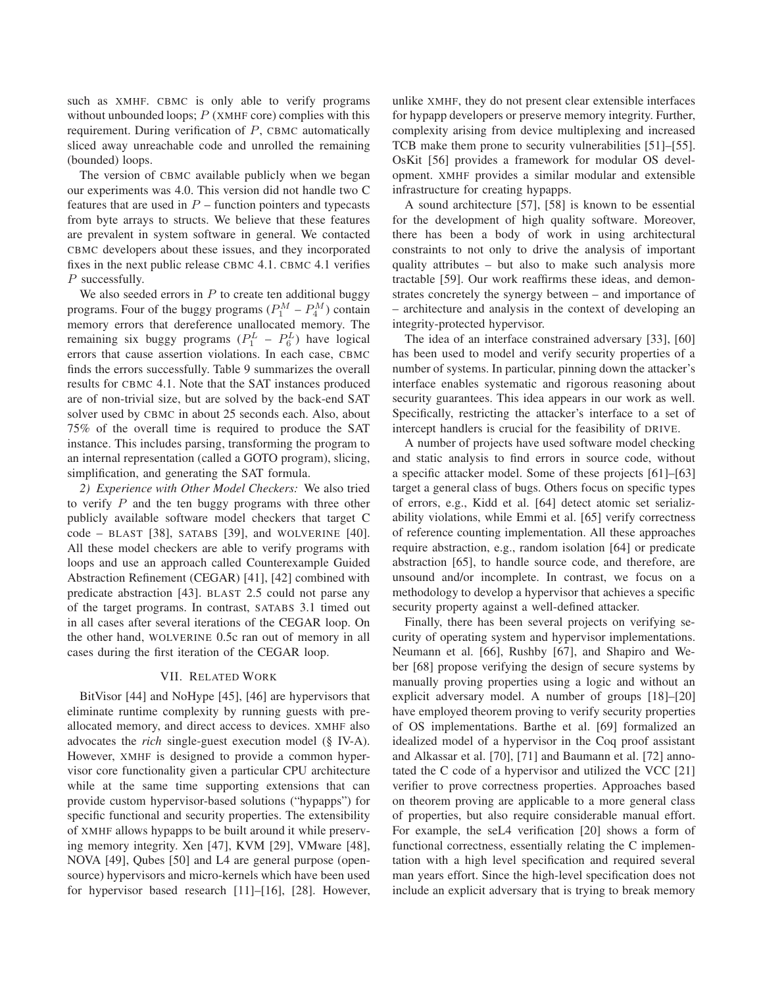such as XMHF. CBMC is only able to verify programs without unbounded loops;  $P$  (XMHF core) complies with this requirement. During verification of  $P$ , CBMC automatically sliced away unreachable code and unrolled the remaining (bounded) loops.

The version of CBMC available publicly when we began our experiments was 4.0. This version did not handle two C features that are used in  $P$  – function pointers and typecasts from byte arrays to structs. We believe that these features are prevalent in system software in general. We contacted CBMC developers about these issues, and they incorporated fixes in the next public release CBMC 4.1. CBMC 4.1 verifies P successfully.

We also seeded errors in  $P$  to create ten additional buggy programs. Four of the buggy programs  $(P_1^M - P_4^M)$  contain memory errors that dereference unallocated memory. The remaining six buggy programs  $(P_1^L - P_6^L)$  have logical errors that cause assertion violations. In each case, CBMC finds the errors successfully. Table 9 summarizes the overall results for CBMC 4.1. Note that the SAT instances produced are of non-trivial size, but are solved by the back-end SAT solver used by CBMC in about 25 seconds each. Also, about 75% of the overall time is required to produce the SAT instance. This includes parsing, transforming the program to an internal representation (called a GOTO program), slicing, simplification, and generating the SAT formula.

*2) Experience with Other Model Checkers:* We also tried to verify  $P$  and the ten buggy programs with three other publicly available software model checkers that target C  $code - BLAST [38], SATABS [39], and WOLVERINE [40].$ All these model checkers are able to verify programs with loops and use an approach called Counterexample Guided Abstraction Refinement (CEGAR) [41], [42] combined with predicate abstraction [43]. BLAST 2.5 could not parse any of the target programs. In contrast, SATABS 3.1 timed out in all cases after several iterations of the CEGAR loop. On the other hand, WOLVERINE 0.5c ran out of memory in all cases during the first iteration of the CEGAR loop.

## VII. RELATED WORK

BitVisor [44] and NoHype [45], [46] are hypervisors that eliminate runtime complexity by running guests with preallocated memory, and direct access to devices. XMHF also advocates the *rich* single-guest execution model (§ IV-A). However, XMHF is designed to provide a common hypervisor core functionality given a particular CPU architecture while at the same time supporting extensions that can provide custom hypervisor-based solutions ("hypapps") for specific functional and security properties. The extensibility of XMHF allows hypapps to be built around it while preserving memory integrity. Xen [47], KVM [29], VMware [48], NOVA [49], Qubes [50] and L4 are general purpose (opensource) hypervisors and micro-kernels which have been used for hypervisor based research [11]–[16], [28]. However, unlike XMHF, they do not present clear extensible interfaces for hypapp developers or preserve memory integrity. Further, complexity arising from device multiplexing and increased TCB make them prone to security vulnerabilities [51]–[55]. OsKit [56] provides a framework for modular OS development. XMHF provides a similar modular and extensible infrastructure for creating hypapps.

A sound architecture [57], [58] is known to be essential for the development of high quality software. Moreover, there has been a body of work in using architectural constraints to not only to drive the analysis of important quality attributes – but also to make such analysis more tractable [59]. Our work reaffirms these ideas, and demonstrates concretely the synergy between – and importance of – architecture and analysis in the context of developing an integrity-protected hypervisor.

The idea of an interface constrained adversary [33], [60] has been used to model and verify security properties of a number of systems. In particular, pinning down the attacker's interface enables systematic and rigorous reasoning about security guarantees. This idea appears in our work as well. Specifically, restricting the attacker's interface to a set of intercept handlers is crucial for the feasibility of DRIVE.

A number of projects have used software model checking and static analysis to find errors in source code, without a specific attacker model. Some of these projects [61]–[63] target a general class of bugs. Others focus on specific types of errors, e.g., Kidd et al. [64] detect atomic set serializability violations, while Emmi et al. [65] verify correctness of reference counting implementation. All these approaches require abstraction, e.g., random isolation [64] or predicate abstraction [65], to handle source code, and therefore, are unsound and/or incomplete. In contrast, we focus on a methodology to develop a hypervisor that achieves a specific security property against a well-defined attacker.

Finally, there has been several projects on verifying security of operating system and hypervisor implementations. Neumann et al. [66], Rushby [67], and Shapiro and Weber [68] propose verifying the design of secure systems by manually proving properties using a logic and without an explicit adversary model. A number of groups [18]–[20] have employed theorem proving to verify security properties of OS implementations. Barthe et al. [69] formalized an idealized model of a hypervisor in the Coq proof assistant and Alkassar et al. [70], [71] and Baumann et al. [72] annotated the C code of a hypervisor and utilized the VCC [21] verifier to prove correctness properties. Approaches based on theorem proving are applicable to a more general class of properties, but also require considerable manual effort. For example, the seL4 verification [20] shows a form of functional correctness, essentially relating the C implementation with a high level specification and required several man years effort. Since the high-level specification does not include an explicit adversary that is trying to break memory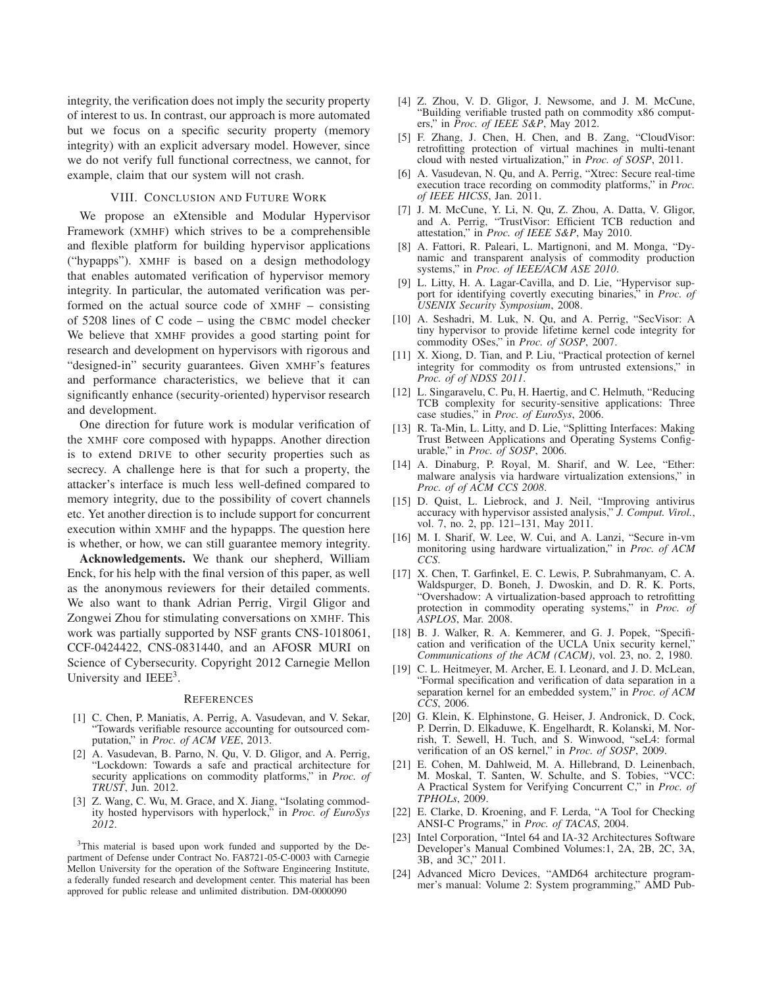integrity, the verification does not imply the security property of interest to us. In contrast, our approach is more automated but we focus on a specific security property (memory integrity) with an explicit adversary model. However, since we do not verify full functional correctness, we cannot, for example, claim that our system will not crash.

# VIII. CONCLUSION AND FUTURE WORK

We propose an eXtensible and Modular Hypervisor Framework (XMHF) which strives to be a comprehensible and flexible platform for building hypervisor applications ("hypapps"). XMHF is based on a design methodology that enables automated verification of hypervisor memory integrity. In particular, the automated verification was performed on the actual source code of XMHF – consisting of 5208 lines of C code – using the CBMC model checker We believe that XMHF provides a good starting point for research and development on hypervisors with rigorous and "designed-in" security guarantees. Given XMHF's features and performance characteristics, we believe that it can significantly enhance (security-oriented) hypervisor research and development.

One direction for future work is modular verification of the XMHF core composed with hypapps. Another direction is to extend DRIVE to other security properties such as secrecy. A challenge here is that for such a property, the attacker's interface is much less well-defined compared to memory integrity, due to the possibility of covert channels etc. Yet another direction is to include support for concurrent execution within XMHF and the hypapps. The question here is whether, or how, we can still guarantee memory integrity.

Acknowledgements. We thank our shepherd, William Enck, for his help with the final version of this paper, as well as the anonymous reviewers for their detailed comments. We also want to thank Adrian Perrig, Virgil Gligor and Zongwei Zhou for stimulating conversations on XMHF. This work was partially supported by NSF grants CNS-1018061, CCF-0424422, CNS-0831440, and an AFOSR MURI on Science of Cybersecurity. Copyright 2012 Carnegie Mellon University and IEEE<sup>3</sup>.

#### **REFERENCES**

- [1] C. Chen, P. Maniatis, A. Perrig, A. Vasudevan, and V. Sekar, "Towards verifiable resource accounting for outsourced computation," in *Proc. of ACM VEE*, 2013.
- [2] A. Vasudevan, B. Parno, N. Qu, V. D. Gligor, and A. Perrig, "Lockdown: Towards a safe and practical architecture for security applications on commodity platforms," in *Proc. of TRUST*, Jun. 2012.
- [3] Z. Wang, C. Wu, M. Grace, and X. Jiang, "Isolating commodity hosted hypervisors with hyperlock," in *Proc. of EuroSys 2012*.

<sup>3</sup>This material is based upon work funded and supported by the Department of Defense under Contract No. FA8721-05-C-0003 with Carnegie Mellon University for the operation of the Software Engineering Institute, a federally funded research and development center. This material has been approved for public release and unlimited distribution. DM-0000090

- [4] Z. Zhou, V. D. Gligor, J. Newsome, and J. M. McCune, "Building verifiable trusted path on commodity x86 computers," in *Proc. of IEEE S&P*, May 2012.
- [5] F. Zhang, J. Chen, H. Chen, and B. Zang, "CloudVisor: retrofitting protection of virtual machines in multi-tenant cloud with nested virtualization," in *Proc. of SOSP*, 2011.
- [6] A. Vasudevan, N. Qu, and A. Perrig, "Xtrec: Secure real-time execution trace recording on commodity platforms," in *Proc. of IEEE HICSS*, Jan. 2011.
- [7] J. M. McCune, Y. Li, N. Qu, Z. Zhou, A. Datta, V. Gligor, and A. Perrig, "TrustVisor: Efficient TCB reduction and attestation," in *Proc. of IEEE S&P*, May 2010.
- [8] A. Fattori, R. Paleari, L. Martignoni, and M. Monga, "Dynamic and transparent analysis of commodity production systems," in *Proc. of IEEE/ACM ASE 2010*.
- [9] L. Litty, H. A. Lagar-Cavilla, and D. Lie, "Hypervisor support for identifying covertly executing binaries," in *Proc. of USENIX Security Symposium*, 2008.
- [10] A. Seshadri, M. Luk, N. Ou, and A. Perrig, "SecVisor: A tiny hypervisor to provide lifetime kernel code integrity for commodity OSes," in *Proc. of SOSP*, 2007.
- [11] X. Xiong, D. Tian, and P. Liu, "Practical protection of kernel integrity for commodity os from untrusted extensions," in *Proc. of of NDSS 2011*.
- [12] L. Singaravelu, C. Pu, H. Haertig, and C. Helmuth, "Reducing TCB complexity for security-sensitive applications: Three case studies," in *Proc. of EuroSys*, 2006.
- [13] R. Ta-Min, L. Litty, and D. Lie, "Splitting Interfaces: Making Trust Between Applications and Operating Systems Configurable," in *Proc. of SOSP*, 2006.
- [14] A. Dinaburg, P. Royal, M. Sharif, and W. Lee, "Ether: malware analysis via hardware virtualization extensions," in *Proc. of of ACM CCS 2008*.
- [15] D. Quist, L. Liebrock, and J. Neil, "Improving antivirus accuracy with hypervisor assisted analysis," *J. Comput. Virol.*, vol. 7, no. 2, pp. 121–131, May 2011.
- [16] M. I. Sharif, W. Lee, W. Cui, and A. Lanzi, "Secure in-vm monitoring using hardware virtualization," in *Proc. of ACM CCS*.
- [17] X. Chen, T. Garfinkel, E. C. Lewis, P. Subrahmanyam, C. A. Waldspurger, D. Boneh, J. Dwoskin, and D. R. K. Ports, "Overshadow: A virtualization-based approach to retrofitting protection in commodity operating systems," in *Proc. of ASPLOS*, Mar. 2008.
- [18] B. J. Walker, R. A. Kemmerer, and G. J. Popek, "Specification and verification of the UCLA Unix security kernel,' *Communications of the ACM (CACM)*, vol. 23, no. 2, 1980.
- [19] C. L. Heitmeyer, M. Archer, E. I. Leonard, and J. D. McLean, "Formal specification and verification of data separation in a separation kernel for an embedded system," in *Proc. of ACM CCS*, 2006.
- [20] G. Klein, K. Elphinstone, G. Heiser, J. Andronick, D. Cock, P. Derrin, D. Elkaduwe, K. Engelhardt, R. Kolanski, M. Norrish, T. Sewell, H. Tuch, and S. Winwood, "seL4: formal verification of an OS kernel," in *Proc. of SOSP*, 2009.
- [21] E. Cohen, M. Dahlweid, M. A. Hillebrand, D. Leinenbach, M. Moskal, T. Santen, W. Schulte, and S. Tobies, "VCC: A Practical System for Verifying Concurrent C," in *Proc. of TPHOLs*, 2009.
- [22] E. Clarke, D. Kroening, and F. Lerda, "A Tool for Checking ANSI-C Programs," in *Proc. of TACAS*, 2004.
- [23] Intel Corporation, "Intel 64 and IA-32 Architectures Software Developer's Manual Combined Volumes:1, 2A, 2B, 2C, 3A, 3B, and 3C," 2011.
- [24] Advanced Micro Devices, "AMD64 architecture programmer's manual: Volume 2: System programming," AMD Pub-